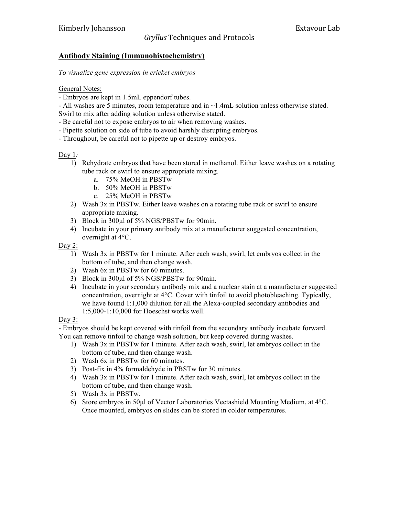## *Gryllus'*Techniques)and)Protocols

### **Antibody Staining (Immunohistochemistry)**

*To visualize gene expression in cricket embryos*

#### General Notes:

- Embryos are kept in 1.5mL eppendorf tubes.

- All washes are 5 minutes, room temperature and in  $\sim$  1.4mL solution unless otherwise stated. Swirl to mix after adding solution unless otherwise stated.

- Be careful not to expose embryos to air when removing washes.
- Pipette solution on side of tube to avoid harshly disrupting embryos.
- Throughout, be careful not to pipette up or destroy embryos.

#### Day 1*:*

- 1) Rehydrate embryos that have been stored in methanol. Either leave washes on a rotating tube rack or swirl to ensure appropriate mixing.
	- a. 75% MeOH in PBSTw
	- b. 50% MeOH in PBSTw
	- c. 25% MeOH in PBSTw
- 2) Wash 3x in PBSTw. Either leave washes on a rotating tube rack or swirl to ensure appropriate mixing.
- 3) Block in 300µl of 5% NGS/PBSTw for 90min.
- 4) Incubate in your primary antibody mix at a manufacturer suggested concentration, overnight at 4°C.

#### Day 2:

- 1) Wash 3x in PBSTw for 1 minute. After each wash, swirl, let embryos collect in the bottom of tube, and then change wash.
- 2) Wash 6x in PBSTw for 60 minutes.
- 3) Block in 300µl of 5% NGS/PBSTw for 90min.
- 4) Incubate in your secondary antibody mix and a nuclear stain at a manufacturer suggested concentration, overnight at 4°C. Cover with tinfoil to avoid photobleaching. Typically, we have found 1:1,000 dilution for all the Alexa-coupled secondary antibodies and 1:5,000-1:10,000 for Hoeschst works well.

#### Day 3:

- Embryos should be kept covered with tinfoil from the secondary antibody incubate forward. You can remove tinfoil to change wash solution, but keep covered during washes.

- 1) Wash 3x in PBSTw for 1 minute. After each wash, swirl, let embryos collect in the bottom of tube, and then change wash.
- 2) Wash 6x in PBSTw for 60 minutes.
- 3) Post-fix in 4% formaldehyde in PBSTw for 30 minutes.
- 4) Wash 3x in PBSTw for 1 minute. After each wash, swirl, let embryos collect in the bottom of tube, and then change wash.
- 5) Wash 3x in PBSTw.
- 6) Store embryos in 50µl of Vector Laboratories Vectashield Mounting Medium, at 4°C. Once mounted, embryos on slides can be stored in colder temperatures.